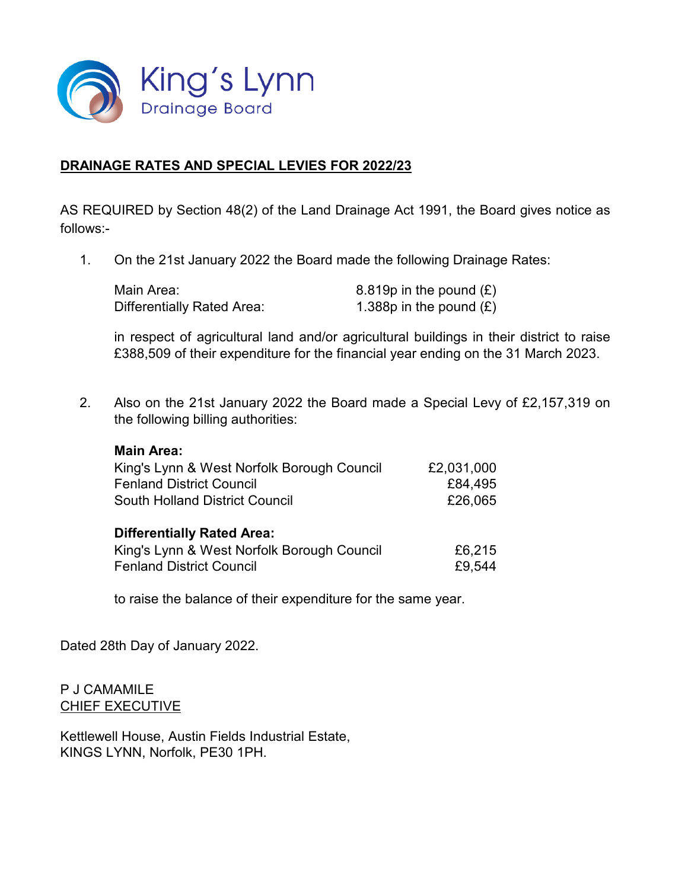

# **DRAINAGE RATES AND SPECIAL LEVIES FOR 2022/23**

AS REQUIRED by Section 48(2) of the Land Drainage Act 1991, the Board gives notice as follows:-

1. On the 21st January 2022 the Board made the following Drainage Rates:

| Main Area:                 | 8.819p in the pound $(E)$ |
|----------------------------|---------------------------|
| Differentially Rated Area: | 1.388p in the pound $(E)$ |

in respect of agricultural land and/or agricultural buildings in their district to raise £388,509 of their expenditure for the financial year ending on the 31 March 2023.

2. Also on the 21st January 2022 the Board made a Special Levy of £2,157,319 on the following billing authorities:

| <b>Main Area:</b>                          |            |
|--------------------------------------------|------------|
| King's Lynn & West Norfolk Borough Council | £2,031,000 |
| <b>Fenland District Council</b>            | £84,495    |
| <b>South Holland District Council</b>      | £26,065    |
| <b>Differentially Rated Area:</b>          |            |
| King's Lynn & West Norfolk Borough Council | £6,215     |
| <b>Fenland District Council</b>            | £9,544     |

to raise the balance of their expenditure for the same year.

Dated 28th Day of January 2022.

## P J CAMAMILE CHIEF EXECUTIVE

Kettlewell House, Austin Fields Industrial Estate, KINGS LYNN, Norfolk, PE30 1PH.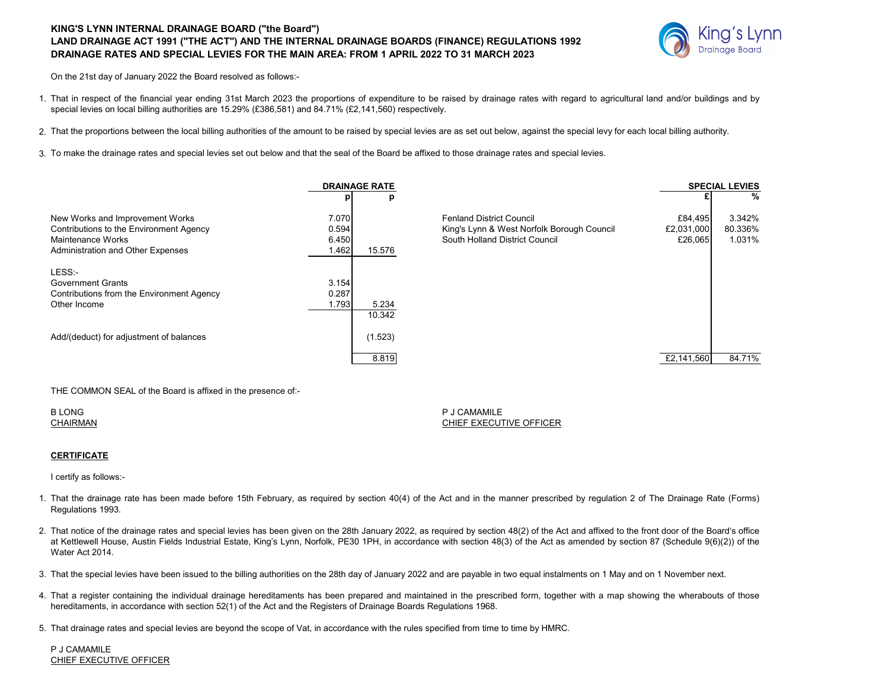### **KING'S LYNN INTERNAL DRAINAGE BOARD ("the Board") LAND DRAINAGE ACT 1991 ("THE ACT") AND THE INTERNAL DRAINAGE BOARDS (FINANCE) REGULATIONS 1992 DRAINAGE RATES AND SPECIAL LEVIES FOR THE MAIN AREA: FROM 1 APRIL 2022 TO 31 MARCH 2023**



On the 21st day of January 2022 the Board resolved as follows:-

- 1. That in respect of the financial year ending 31st March 2023 the proportions of expenditure to be raised by drainage rates with regard to agricultural land and/or buildings and by special levies on local billing authorities are 15.29% (£386,581) and 84.71% (£2,141,560) respectively.
- 2. That the proportions between the local billing authorities of the amount to be raised by special levies are as set out below, against the special levy for each local billing authority.
- 3. To make the drainage rates and special levies set out below and that the seal of the Board be affixed to those drainage rates and special levies.

|                                                                                                                                      |                                  | <b>DRAINAGE RATE</b> |                                                                                                                 |                                  | <b>SPECIAL LEVIES</b>       |
|--------------------------------------------------------------------------------------------------------------------------------------|----------------------------------|----------------------|-----------------------------------------------------------------------------------------------------------------|----------------------------------|-----------------------------|
|                                                                                                                                      |                                  | р                    |                                                                                                                 |                                  | %                           |
| New Works and Improvement Works<br>Contributions to the Environment Agency<br>Maintenance Works<br>Administration and Other Expenses | 7.070<br>0.594<br>6.450<br>1.462 | 15.576               | <b>Fenland District Council</b><br>King's Lynn & West Norfolk Borough Council<br>South Holland District Council | £84,495<br>£2,031,000<br>£26,065 | 3.342%<br>80.336%<br>1.031% |
| LESS:-                                                                                                                               |                                  |                      |                                                                                                                 |                                  |                             |
| <b>Government Grants</b>                                                                                                             | 3.154                            |                      |                                                                                                                 |                                  |                             |
| Contributions from the Environment Agency                                                                                            | 0.287                            |                      |                                                                                                                 |                                  |                             |
| Other Income                                                                                                                         | 1.793                            | 5.234                |                                                                                                                 |                                  |                             |
|                                                                                                                                      |                                  | 10.342               |                                                                                                                 |                                  |                             |
| Add/(deduct) for adjustment of balances                                                                                              |                                  | (1.523)              |                                                                                                                 |                                  |                             |
|                                                                                                                                      |                                  | 8.819                |                                                                                                                 | £2,141,560                       | 84.71%                      |

THE COMMON SEAL of the Board is affixed in the presence of:-

| B LONG   | ∴AMAMII ⊑<br>-          |
|----------|-------------------------|
| CHAIRMAN | CHIEF EXECUTIVE OFFICER |

#### **CERTIFICATE**

I certify as follows:-

- 1. That the drainage rate has been made before 15th February, as required by section 40(4) of the Act and in the manner prescribed by regulation 2 of The Drainage Rate (Forms) Regulations 1993.
- 2. That notice of the drainage rates and special levies has been given on the 28th January 2022, as required by section 48(2) of the Act and affixed to the front door of the Board's office at Kettlewell House, Austin Fields Industrial Estate, King's Lynn, Norfolk, PE30 1PH, in accordance with section 48(3) of the Act as amended by section 87 (Schedule 9(6)(2)) of the Water Act 2014.
- 3. That the special levies have been issued to the billing authorities on the 28th day of January 2022 and are payable in two equal instalments on 1 May and on 1 November next.
- 4. That a register containing the individual drainage hereditaments has been prepared and maintained in the prescribed form, together with a map showing the wherabouts of those hereditaments, in accordance with section 52(1) of the Act and the Registers of Drainage Boards Regulations 1968.
- 5. That drainage rates and special levies are beyond the scope of Vat, in accordance with the rules specified from time to time by HMRC.

P J CAMAMILE CHIEF EXECUTIVE OFFICER